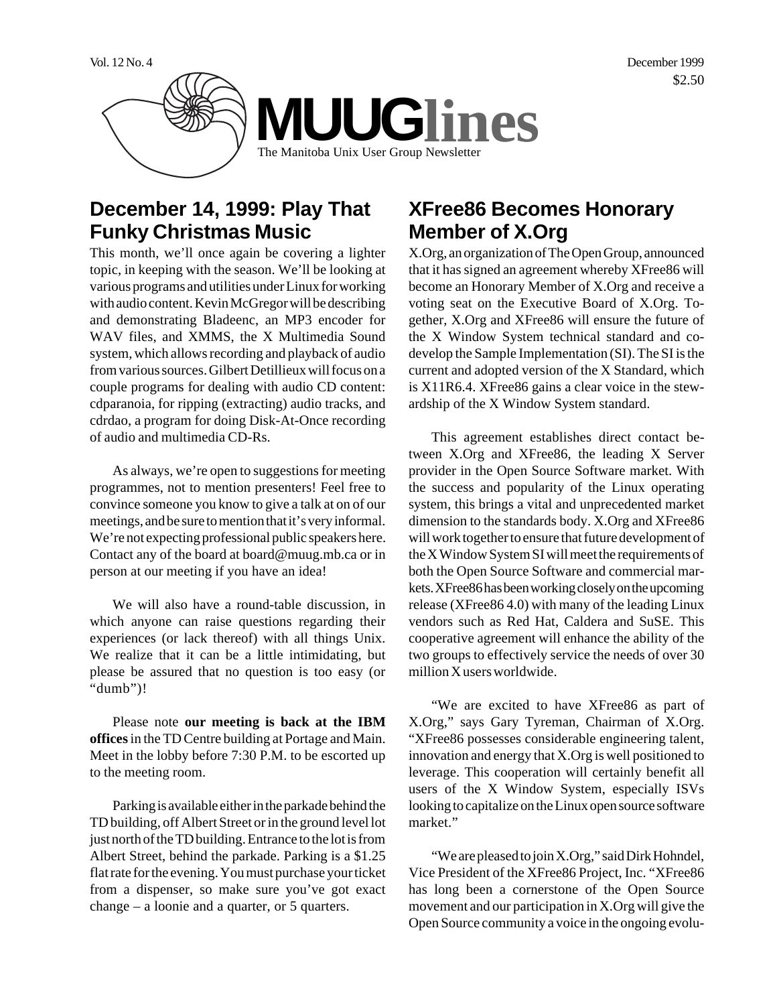

## **December 14, 1999: Play That Funky Christmas Music**

This month, we'll once again be covering a lighter topic, in keeping with the season. We'll be looking at various programs and utilities under Linux for working with audio content. Kevin McGregor will be describing and demonstrating Bladeenc, an MP3 encoder for WAV files, and XMMS, the X Multimedia Sound system, which allows recording and playback of audio from various sources. Gilbert Detillieux will focus on a couple programs for dealing with audio CD content: cdparanoia, for ripping (extracting) audio tracks, and cdrdao, a program for doing Disk-At-Once recording of audio and multimedia CD-Rs.

As always, we're open to suggestions for meeting programmes, not to mention presenters! Feel free to convince someone you know to give a talk at on of our meetings, and be sure to mention that it's very informal. We're not expecting professional public speakers here. Contact any of the board at board@muug.mb.ca or in person at our meeting if you have an idea!

We will also have a round-table discussion, in which anyone can raise questions regarding their experiences (or lack thereof) with all things Unix. We realize that it can be a little intimidating, but please be assured that no question is too easy (or "dumb")!

Please note **our meeting is back at the IBM offices** in the TD Centre building at Portage and Main. Meet in the lobby before 7:30 P.M. to be escorted up to the meeting room.

Parking is available either in the parkade behind the TD building, off Albert Street or in the ground level lot just north of the TD building. Entrance to the lot is from Albert Street, behind the parkade. Parking is a \$1.25 flat rate for the evening. You must purchase your ticket from a dispenser, so make sure you've got exact change – a loonie and a quarter, or 5 quarters.

# **XFree86 Becomes Honorary Member of X.Org**

X.Org, an organization of The Open Group, announced that it has signed an agreement whereby XFree86 will become an Honorary Member of X.Org and receive a voting seat on the Executive Board of X.Org. Together, X.Org and XFree86 will ensure the future of the X Window System technical standard and codevelop the Sample Implementation (SI). The SI is the current and adopted version of the X Standard, which is X11R6.4. XFree86 gains a clear voice in the stewardship of the X Window System standard.

This agreement establishes direct contact between X.Org and XFree86, the leading X Server provider in the Open Source Software market. With the success and popularity of the Linux operating system, this brings a vital and unprecedented market dimension to the standards body. X.Org and XFree86 will work together to ensure that future development of the X Window System SI will meet the requirements of both the Open Source Software and commercial markets. XFree86 has been working closely on the upcoming release (XFree86 4.0) with many of the leading Linux vendors such as Red Hat, Caldera and SuSE. This cooperative agreement will enhance the ability of the two groups to effectively service the needs of over 30 million X users worldwide.

"We are excited to have XFree86 as part of X.Org," says Gary Tyreman, Chairman of X.Org. "XFree86 possesses considerable engineering talent, innovation and energy that X.Org is well positioned to leverage. This cooperation will certainly benefit all users of the X Window System, especially ISVs looking to capitalize on the Linux open source software market."

"We are pleased to join X.Org," said Dirk Hohndel, Vice President of the XFree86 Project, Inc. "XFree86 has long been a cornerstone of the Open Source movement and our participation in X.Org will give the Open Source community a voice in the ongoing evolu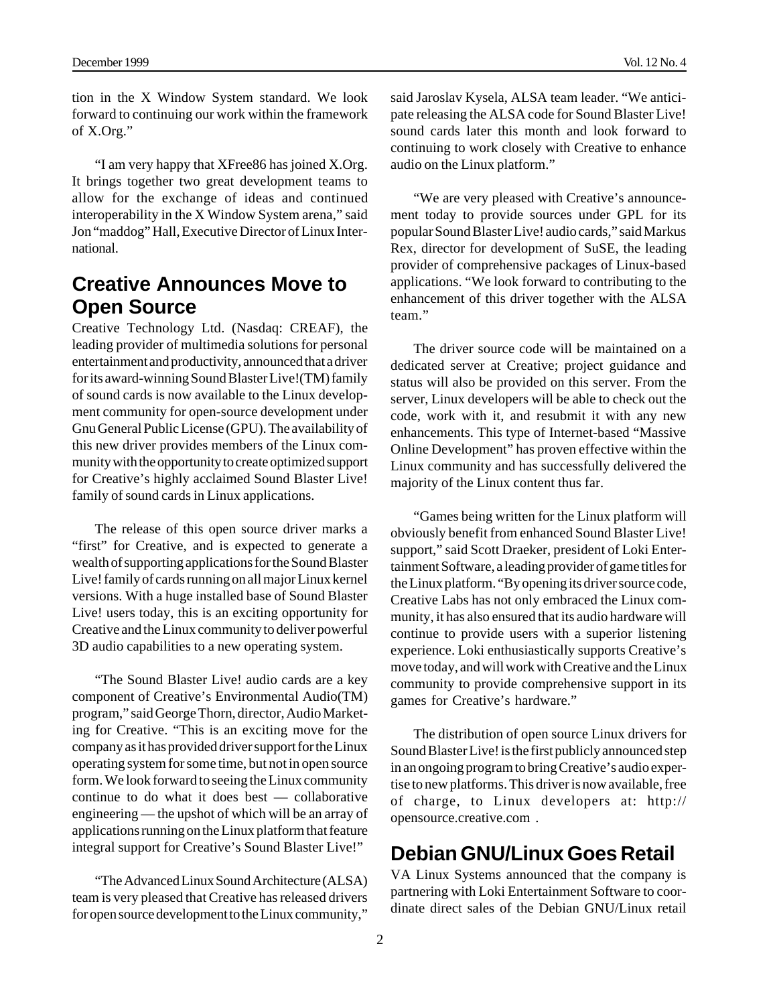tion in the X Window System standard. We look forward to continuing our work within the framework of X.Org."

"I am very happy that XFree86 has joined X.Org. It brings together two great development teams to allow for the exchange of ideas and continued interoperability in the X Window System arena," said Jon "maddog" Hall, Executive Director of Linux International.

#### **Creative Announces Move to Open Source**

Creative Technology Ltd. (Nasdaq: CREAF), the leading provider of multimedia solutions for personal entertainment and productivity, announced that a driver for its award-winning Sound Blaster Live!(TM) family of sound cards is now available to the Linux development community for open-source development under Gnu General Public License (GPU). The availability of this new driver provides members of the Linux community with the opportunity to create optimized support for Creative's highly acclaimed Sound Blaster Live! family of sound cards in Linux applications.

The release of this open source driver marks a "first" for Creative, and is expected to generate a wealth of supporting applications for the Sound Blaster Live! family of cards running on all major Linux kernel versions. With a huge installed base of Sound Blaster Live! users today, this is an exciting opportunity for Creative and the Linux community to deliver powerful 3D audio capabilities to a new operating system.

"The Sound Blaster Live! audio cards are a key component of Creative's Environmental Audio(TM) program," said George Thorn, director, Audio Marketing for Creative. "This is an exciting move for the company as it has provided driver support for the Linux operating system for some time, but not in open source form. We look forward to seeing the Linux community continue to do what it does best — collaborative engineering — the upshot of which will be an array of applications running on the Linux platform that feature integral support for Creative's Sound Blaster Live!"

"The Advanced Linux Sound Architecture (ALSA) team is very pleased that Creative has released drivers for open source development to the Linux community,"

said Jaroslav Kysela, ALSA team leader. "We anticipate releasing the ALSA code for Sound Blaster Live! sound cards later this month and look forward to continuing to work closely with Creative to enhance audio on the Linux platform."

"We are very pleased with Creative's announcement today to provide sources under GPL for its popular Sound Blaster Live! audio cards," said Markus Rex, director for development of SuSE, the leading provider of comprehensive packages of Linux-based applications. "We look forward to contributing to the enhancement of this driver together with the ALSA team."

The driver source code will be maintained on a dedicated server at Creative; project guidance and status will also be provided on this server. From the server, Linux developers will be able to check out the code, work with it, and resubmit it with any new enhancements. This type of Internet-based "Massive Online Development" has proven effective within the Linux community and has successfully delivered the majority of the Linux content thus far.

"Games being written for the Linux platform will obviously benefit from enhanced Sound Blaster Live! support," said Scott Draeker, president of Loki Entertainment Software, a leading provider of game titles for the Linux platform. "By opening its driver source code, Creative Labs has not only embraced the Linux community, it has also ensured that its audio hardware will continue to provide users with a superior listening experience. Loki enthusiastically supports Creative's move today, and will work with Creative and the Linux community to provide comprehensive support in its games for Creative's hardware."

The distribution of open source Linux drivers for Sound Blaster Live! is the first publicly announced step in an ongoing program to bring Creative's audio expertise to new platforms. This driver is now available, free of charge, to Linux developers at: http:// opensource.creative.com .

## **Debian GNU/Linux Goes Retail**

VA Linux Systems announced that the company is partnering with Loki Entertainment Software to coordinate direct sales of the Debian GNU/Linux retail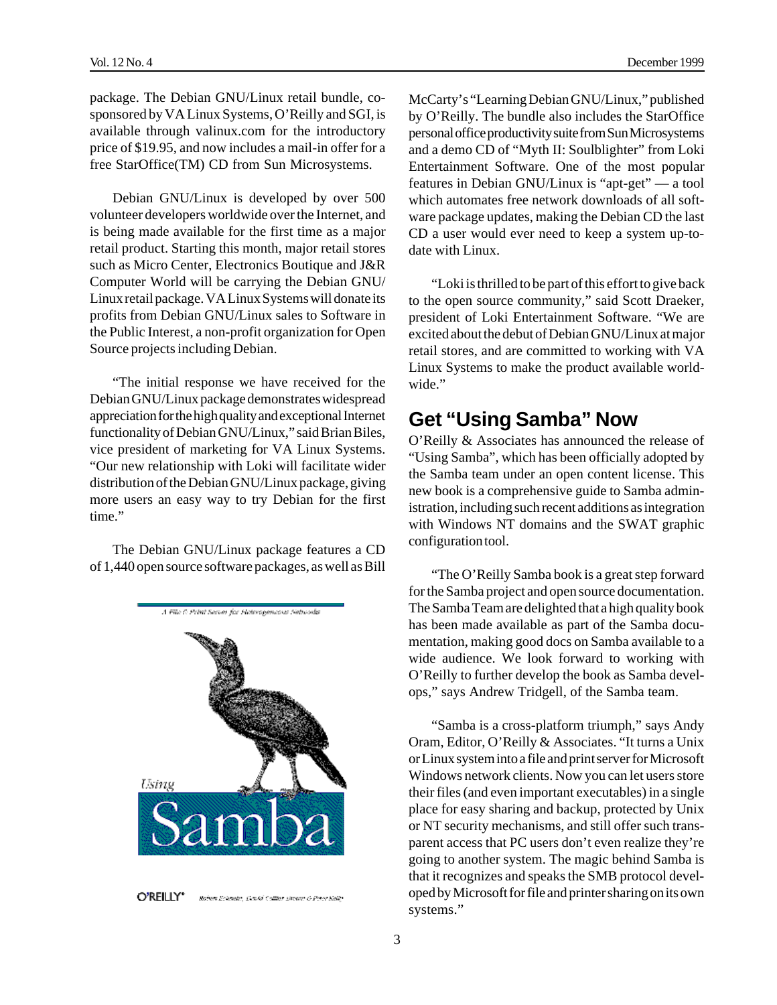package. The Debian GNU/Linux retail bundle, cosponsored by VA Linux Systems, O'Reilly and SGI, is available through valinux.com for the introductory price of \$19.95, and now includes a mail-in offer for a free StarOffice(TM) CD from Sun Microsystems.

Debian GNU/Linux is developed by over 500 volunteer developers worldwide over the Internet, and is being made available for the first time as a major retail product. Starting this month, major retail stores such as Micro Center, Electronics Boutique and J&R Computer World will be carrying the Debian GNU/ Linux retail package. VA Linux Systems will donate its profits from Debian GNU/Linux sales to Software in the Public Interest, a non-profit organization for Open Source projects including Debian.

"The initial response we have received for the Debian GNU/Linux package demonstrates widespread appreciation for the high quality and exceptional Internet functionality of Debian GNU/Linux," said Brian Biles, vice president of marketing for VA Linux Systems. "Our new relationship with Loki will facilitate wider distribution of the Debian GNU/Linux package, giving more users an easy way to try Debian for the first time."

The Debian GNU/Linux package features a CD of 1,440 open source software packages, as well as Bill



O'REILLY" Bohen Echneta, Deuts Collier Brown & Peter Kelly

McCarty's "Learning Debian GNU/Linux," published by O'Reilly. The bundle also includes the StarOffice personal office productivity suite from Sun Microsystems and a demo CD of "Myth II: Soulblighter" from Loki Entertainment Software. One of the most popular features in Debian GNU/Linux is "apt-get" — a tool which automates free network downloads of all software package updates, making the Debian CD the last CD a user would ever need to keep a system up-todate with Linux.

"Loki is thrilled to be part of this effort to give back to the open source community," said Scott Draeker, president of Loki Entertainment Software. "We are excited about the debut of Debian GNU/Linux at major retail stores, and are committed to working with VA Linux Systems to make the product available worldwide."

## **Get "Using Samba" Now**

O'Reilly & Associates has announced the release of "Using Samba", which has been officially adopted by the Samba team under an open content license. This new book is a comprehensive guide to Samba administration, including such recent additions as integration with Windows NT domains and the SWAT graphic configuration tool.

"The O'Reilly Samba book is a great step forward for the Samba project and open source documentation. The Samba Team are delighted that a high quality book has been made available as part of the Samba documentation, making good docs on Samba available to a wide audience. We look forward to working with O'Reilly to further develop the book as Samba develops," says Andrew Tridgell, of the Samba team.

"Samba is a cross-platform triumph," says Andy Oram, Editor, O'Reilly & Associates. "It turns a Unix or Linux system into a file and print server for Microsoft Windows network clients. Now you can let users store their files (and even important executables) in a single place for easy sharing and backup, protected by Unix or NT security mechanisms, and still offer such transparent access that PC users don't even realize they're going to another system. The magic behind Samba is that it recognizes and speaks the SMB protocol developed by Microsoft for file and printer sharing on its own systems."